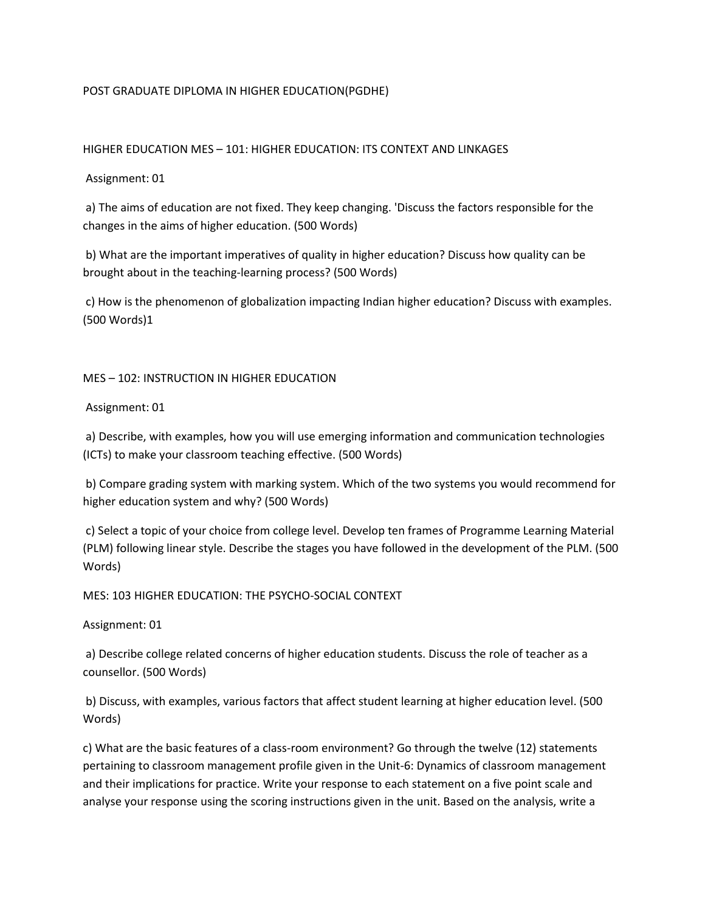# POST GRADUATE DIPLOMA IN HIGHER EDUCATION(PGDHE)

## HIGHER EDUCATION MES – 101: HIGHER EDUCATION: ITS CONTEXT AND LINKAGES

## Assignment: 01

a) The aims of education are not fixed. They keep changing. 'Discuss the factors responsible for the changes in the aims of higher education. (500 Words)

b) What are the important imperatives of quality in higher education? Discuss how quality can be brought about in the teaching-learning process? (500 Words)

c) How is the phenomenon of globalization impacting Indian higher education? Discuss with examples. (500 Words)1

#### MES – 102: INSTRUCTION IN HIGHER EDUCATION

Assignment: 01

a) Describe, with examples, how you will use emerging information and communication technologies (ICTs) to make your classroom teaching effective. (500 Words)

b) Compare grading system with marking system. Which of the two systems you would recommend for higher education system and why? (500 Words)

c) Select a topic of your choice from college level. Develop ten frames of Programme Learning Material (PLM) following linear style. Describe the stages you have followed in the development of the PLM. (500 Words)

# MES: 103 HIGHER EDUCATION: THE PSYCHO-SOCIAL CONTEXT

Assignment: 01

a) Describe college related concerns of higher education students. Discuss the role of teacher as a counsellor. (500 Words)

b) Discuss, with examples, various factors that affect student learning at higher education level. (500 Words)

c) What are the basic features of a class-room environment? Go through the twelve (12) statements pertaining to classroom management profile given in the Unit-6: Dynamics of classroom management and their implications for practice. Write your response to each statement on a five point scale and analyse your response using the scoring instructions given in the unit. Based on the analysis, write a